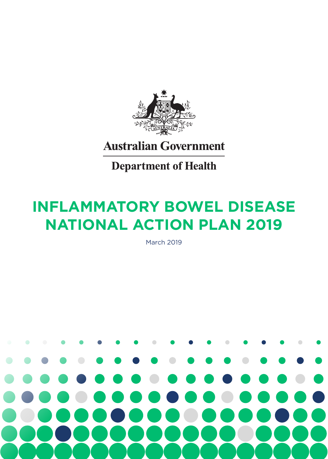

# **Australian Government**

**Department of Health** 

# **INFLAMMATORY BOWEL DISEASE NATIONAL ACTION PLAN 2019**

March 2019

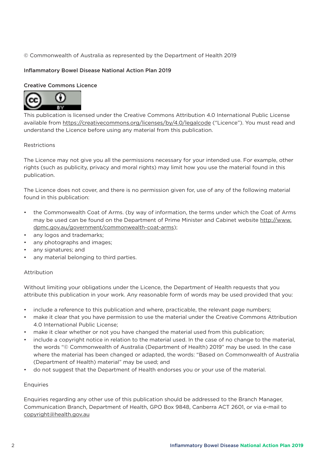# © Commonwealth of Australia as represented by the Department of Health 2019

# Inflammatory Bowel Disease National Action Plan 2019

# Creative Commons Licence



This publication is licensed under the Creative Commons Attribution 4.0 International Public License available from https://creativecommons.org/licenses/by/4.0/legalcode ("Licence"). You must read and understand the Licence before using any material from this publication.

## **Restrictions**

The Licence may not give you all the permissions necessary for your intended use. For example, other rights (such as publicity, privacy and moral rights) may limit how you use the material found in this publication.

The Licence does not cover, and there is no permission given for, use of any of the following material found in this publication:

- the Commonwealth Coat of Arms. (by way of information, the terms under which the Coat of Arms may be used can be found on the Department of Prime Minister and Cabinet website http://www. dpmc.gov.au/government/commonwealth-coat-arms);
- any logos and trademarks;
- any photographs and images;
- any signatures; and
- any material belonging to third parties.

## Attribution

Without limiting your obligations under the Licence, the Department of Health requests that you attribute this publication in your work. Any reasonable form of words may be used provided that you:

- include a reference to this publication and where, practicable, the relevant page numbers;
- make it clear that you have permission to use the material under the Creative Commons Attribution 4.0 International Public License;
- make it clear whether or not you have changed the material used from this publication;
- include a copyright notice in relation to the material used. In the case of no change to the material, the words "© Commonwealth of Australia (Department of Health) 2019" may be used. In the case where the material has been changed or adapted, the words: "Based on Commonwealth of Australia (Department of Health) material" may be used; and
- do not suggest that the Department of Health endorses you or your use of the material.

## Enquiries

Enquiries regarding any other use of this publication should be addressed to the Branch Manager, Communication Branch, Department of Health, GPO Box 9848, Canberra ACT 2601, or via e-mail to copyright@health.gov.au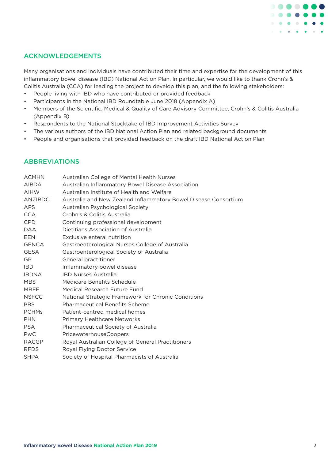

# ACKNOWLEDGEMENTS

Many organisations and individuals have contributed their time and expertise for the development of this inflammatory bowel disease (IBD) National Action Plan. In particular, we would like to thank Crohn's & Colitis Australia (CCA) for leading the project to develop this plan, and the following stakeholders:

- People living with IBD who have contributed or provided feedback
- Participants in the National IBD Roundtable June 2018 (Appendix A)
- Members of the Scientific, Medical & Quality of Care Advisory Committee, Crohn's & Colitis Australia (Appendix B)
- Respondents to the National Stocktake of IBD Improvement Activities Survey
- The various authors of the IBD National Action Plan and related background documents
- People and organisations that provided feedback on the draft IBD National Action Plan

# ABBREVIATIONS

| Australian College of Mental Health Nurses                      |
|-----------------------------------------------------------------|
| Australian Inflammatory Bowel Disease Association               |
| Australian Institute of Health and Welfare                      |
| Australia and New Zealand Inflammatory Bowel Disease Consortium |
| Australian Psychological Society                                |
| Crohn's & Colitis Australia                                     |
| Continuing professional development                             |
| Dietitians Association of Australia                             |
| Exclusive enteral nutrition                                     |
| Gastroenterological Nurses College of Australia                 |
| Gastroenterological Society of Australia                        |
| General practitioner                                            |
| Inflammatory bowel disease                                      |
| <b>IBD Nurses Australia</b>                                     |
| Medicare Benefits Schedule                                      |
| Medical Research Future Fund                                    |
| National Strategic Framework for Chronic Conditions             |
| <b>Pharmaceutical Benefits Scheme</b>                           |
| Patient-centred medical homes                                   |
| <b>Primary Healthcare Networks</b>                              |
| Pharmaceutical Society of Australia                             |
| <b>PricewaterhouseCoopers</b>                                   |
| Royal Australian College of General Practitioners               |
| Royal Flying Doctor Service                                     |
| Society of Hospital Pharmacists of Australia                    |
|                                                                 |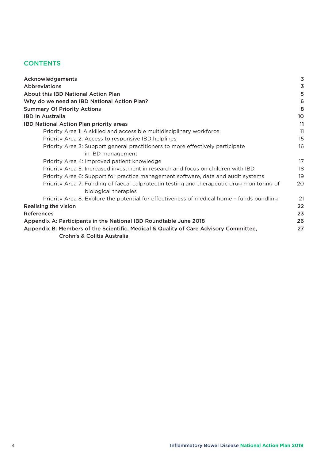# **CONTENTS**

| Acknowledgements                                                                                                   | 3  |
|--------------------------------------------------------------------------------------------------------------------|----|
| <b>Abbreviations</b>                                                                                               | 3  |
| <b>About this IBD National Action Plan</b>                                                                         | 5  |
| Why do we need an IBD National Action Plan?                                                                        | 6  |
| <b>Summary Of Priority Actions</b>                                                                                 | 8  |
| <b>IBD</b> in Australia                                                                                            | 10 |
| <b>IBD National Action Plan priority areas</b>                                                                     | 11 |
| Priority Area 1: A skilled and accessible multidisciplinary workforce                                              | 11 |
| Priority Area 2: Access to responsive IBD helplines                                                                | 15 |
| Priority Area 3: Support general practitioners to more effectively participate                                     | 16 |
| in IBD management                                                                                                  |    |
| Priority Area 4: Improved patient knowledge                                                                        | 17 |
| Priority Area 5: Increased investment in research and focus on children with IBD                                   | 18 |
| Priority Area 6: Support for practice management software, data and audit systems                                  | 19 |
| Priority Area 7: Funding of faecal calprotectin testing and therapeutic drug monitoring of<br>biological therapies | 20 |
| Priority Area 8: Explore the potential for effectiveness of medical home - funds bundling                          | 21 |
| <b>Realising the vision</b>                                                                                        | 22 |
| <b>References</b>                                                                                                  | 23 |
| Appendix A: Participants in the National IBD Roundtable June 2018                                                  | 26 |
| Appendix B: Members of the Scientific, Medical & Quality of Care Advisory Committee,                               | 27 |
| Crohn's & Colitis Australia                                                                                        |    |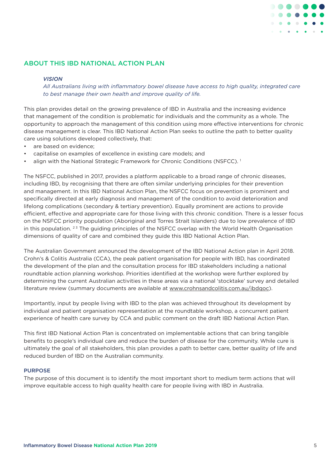

# ABOUT THIS IBD NATIONAL ACTION PLAN

#### *VISION*

*All Australians living with inflammatory bowel disease have access to high quality, integrated care to best manage their own health and improve quality of life.*

This plan provides detail on the growing prevalence of IBD in Australia and the increasing evidence that management of the condition is problematic for individuals and the community as a whole. The opportunity to approach the management of this condition using more effective interventions for chronic disease management is clear. This IBD National Action Plan seeks to outline the path to better quality care using solutions developed collectively, that:

- are based on evidence;
- capitalise on examples of excellence in existing care models; and
- align with the National Strategic Framework for Chronic Conditions (NSFCC).<sup>1</sup>

The NSFCC, published in 2017, provides a platform applicable to a broad range of chronic diseases, including IBD, by recognising that there are often similar underlying principles for their prevention and management. In this IBD National Action Plan, the NSFCC focus on prevention is prominent and specifically directed at early diagnosis and management of the condition to avoid deterioration and lifelong complications (secondary & tertiary prevention). Equally prominent are actions to provide efficient, effective and appropriate care for those living with this chronic condition. There is a lesser focus on the NSFCC priority population (Aboriginal and Torres Strait Islanders) due to low prevalence of IBD in this population.  $2^3$  The guiding principles of the NSFCC overlap with the World Health Organisation dimensions of quality of care and combined they guide this IBD National Action Plan.

The Australian Government announced the development of the IBD National Action plan in April 2018. Crohn's & Colitis Australia (CCA), the peak patient organisation for people with IBD, has coordinated the development of the plan and the consultation process for IBD stakeholders including a national roundtable action planning workshop. Priorities identified at the workshop were further explored by determining the current Australian activities in these areas via a national 'stocktake' survey and detailed literature review (summary documents are available at www.crohnsandcolitis.com.au/ibdqoc).

Importantly, input by people living with IBD to the plan was achieved throughout its development by individual and patient organisation representation at the roundtable workshop, a concurrent patient experience of health care survey by CCA and public comment on the draft IBD National Action Plan.

This first IBD National Action Plan is concentrated on implementable actions that can bring tangible benefits to people's individual care and reduce the burden of disease for the community. While cure is ultimately the goal of all stakeholders, this plan provides a path to better care, better quality of life and reduced burden of IBD on the Australian community.

#### PURPOSE

The purpose of this document is to identify the most important short to medium term actions that will improve equitable access to high quality health care for people living with IBD in Australia.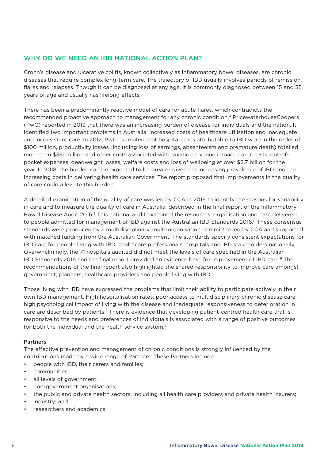# WHY DO WE NEED AN IBD NATIONAL ACTION PLAN?

Crohn's disease and ulcerative colitis, known collectively as inflammatory bowel diseases, are chronic diseases that require complex long-term care. The trajectory of IBD usually involves periods of remission, flares and relapses. Though it can be diagnosed at any age, it is commonly diagnosed between 15 and 35 years of age and usually has lifelong effects.

There has been a predominantly reactive model of care for acute flares, which contradicts the recommended proactive approach to management for any chronic condition.4 PricewaterhouseCoopers (PwC) reported in 2013 that there was an increasing burden of disease for individuals and the nation. It identified two important problems in Australia: increased costs of healthcare utilisation and inadequate and inconsistent care. In 2012, PwC estimated that hospital costs attributable to IBD were in the order of \$100 million, productivity losses (including loss of earnings, absenteeism and premature death) totalled more than \$361 million and other costs associated with taxation revenue impact, carer costs, out-ofpocket expenses, deadweight losses, welfare costs and loss of wellbeing at over \$2.7 billion for the year. In 2018, the burden can be expected to be greater given the increasing prevalence of IBD and the increasing costs in delivering health care services. The report proposed that improvements in the quality of care could alleviate this burden.

A detailed examination of the quality of care was led by CCA in 2016 to identify the reasons for variability in care and to measure the quality of care in Australia, described in the final report of the Inflammatory Bowel Disease Audit 2016.<sup>5</sup> This national audit examined the resources, organisation and care delivered to people admitted for management of IBD against the Australian IBD Standards 2016.<sup>6</sup> These consensus standards were produced by a multidisciplinary, multi-organisation committee led by CCA and supported with matched funding from the Australian Government. The standards specify consistent expectations for IBD care for people living with IBD, healthcare professionals, hospitals and IBD stakeholders nationally. Overwhelmingly, the 71 hospitals audited did not meet the levels of care specified in the Australian IBD Standards 2016 and the final report provided an evidence base for improvement of IBD care.<sup>6</sup> The recommendations of the final report also highlighted the shared responsibility to improve care amongst government, planners, healthcare providers and people living with IBD.

Those living with IBD have expressed the problems that limit their ability to participate actively in their own IBD management. High hospitalisation rates, poor access to multidisciplinary chronic disease care, high psychological impact of living with the disease and inadequate responsiveness to deterioration in care are described by patients.<sup>7</sup> There is evidence that developing patient-centred health care that is responsive to the needs and preferences of individuals is associated with a range of positive outcomes for both the individual and the health service system.<sup>8</sup>

## **Partners**

The effective prevention and management of chronic conditions is strongly influenced by the contributions made by a wide range of Partners. These Partners include:

- people with IBD, their carers and families;
- communities;
- all levels of government;
- non-government organisations;
- the public and private health sectors, including all health care providers and private health insurers;
- industry; and
- researchers and academics.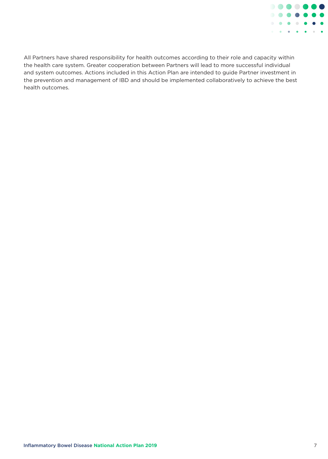

All Partners have shared responsibility for health outcomes according to their role and capacity within the health care system. Greater cooperation between Partners will lead to more successful individual and system outcomes. Actions included in this Action Plan are intended to guide Partner investment in the prevention and management of IBD and should be implemented collaboratively to achieve the best health outcomes.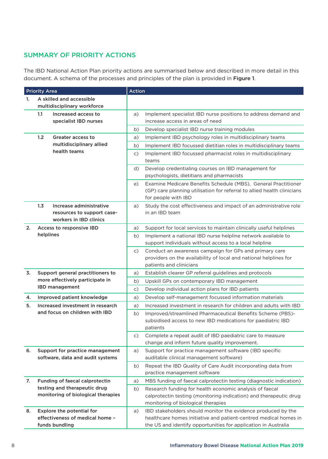# SUMMARY OF PRIORITY ACTIONS

The IBD National Action Plan priority actions are summarised below and described in more detail in this document. A schema of the processes and principles of the plan is provided in Figure 1.

| <b>Priority Area</b> |                                  |                                                              | <b>Action</b> |                                                                                                                                  |  |  |  |
|----------------------|----------------------------------|--------------------------------------------------------------|---------------|----------------------------------------------------------------------------------------------------------------------------------|--|--|--|
| 1.                   |                                  | A skilled and accessible                                     |               |                                                                                                                                  |  |  |  |
|                      | multidisciplinary workforce      |                                                              |               |                                                                                                                                  |  |  |  |
|                      | 1.1                              | Increased access to                                          | a)            | Implement specialist IBD nurse positions to address demand and                                                                   |  |  |  |
|                      |                                  | specialist IBD nurses                                        |               | increase access in areas of need                                                                                                 |  |  |  |
|                      |                                  |                                                              | b)            | Develop specialist IBD nurse training modules                                                                                    |  |  |  |
|                      | 1.2                              | Greater access to                                            | a)            | Implement IBD psychology roles in multidisciplinary teams                                                                        |  |  |  |
|                      |                                  | multidisciplinary allied                                     | b)            | Implement IBD focussed dietitian roles in multidisciplinary teams                                                                |  |  |  |
|                      |                                  | health teams                                                 | C)            | Implement IBD focussed pharmacist roles in multidisciplinary                                                                     |  |  |  |
|                      |                                  |                                                              |               | teams                                                                                                                            |  |  |  |
|                      |                                  |                                                              | d)            | Develop credentialing courses on IBD management for<br>psychologists, dietitians and pharmacists                                 |  |  |  |
|                      |                                  |                                                              | e)            | Examine Medicare Benefits Schedule (MBS), General Practitioner                                                                   |  |  |  |
|                      |                                  |                                                              |               | (GP) care planning utilisation for referral to allied health clinicians                                                          |  |  |  |
|                      |                                  |                                                              |               | for people with IBD                                                                                                              |  |  |  |
|                      | 1.3                              | Increase administrative                                      | a)            | Study the cost effectiveness and impact of an administrative role                                                                |  |  |  |
|                      |                                  | resources to support case-                                   |               | in an IBD team                                                                                                                   |  |  |  |
|                      |                                  | workers in IBD clinics                                       |               |                                                                                                                                  |  |  |  |
| 2.                   | helplines                        | Access to responsive IBD                                     | a)            | Support for local services to maintain clinically useful helplines                                                               |  |  |  |
|                      |                                  |                                                              | b)            | Implement a national IBD nurse helpline network available to                                                                     |  |  |  |
|                      |                                  |                                                              |               | support individuals without access to a local helpline                                                                           |  |  |  |
|                      |                                  |                                                              | C)            | Conduct an awareness campaign for GPs and primary care<br>providers on the availability of local and national helplines for      |  |  |  |
|                      |                                  |                                                              |               | patients and clinicians                                                                                                          |  |  |  |
| 3.                   |                                  | Support general practitioners to                             | a)            | Establish clearer GP referral guidelines and protocols                                                                           |  |  |  |
|                      |                                  | more effectively participate in                              | b)            | Upskill GPs on contemporary IBD management                                                                                       |  |  |  |
|                      |                                  | <b>IBD</b> management                                        | C)            | Develop individual action plans for IBD patients                                                                                 |  |  |  |
| 4.                   |                                  | Improved patient knowledge                                   | a)            | Develop self-management focussed information materials                                                                           |  |  |  |
| 5.                   | Increased investment in research |                                                              | a)            | Increased investment in research for children and adults with IBD                                                                |  |  |  |
|                      |                                  | and focus on children with IBD                               | b)            | Improved/streamlined Pharmaceutical Benefits Scheme (PBS)-                                                                       |  |  |  |
|                      |                                  |                                                              |               | subsidised access to new IBD medications for paediatric IBD                                                                      |  |  |  |
|                      |                                  |                                                              |               | patients                                                                                                                         |  |  |  |
|                      |                                  |                                                              | C)            | Complete a repeat audit of IBD paediatric care to measure                                                                        |  |  |  |
|                      |                                  |                                                              |               | change and inform future quality improvement.                                                                                    |  |  |  |
| 6.                   |                                  | Support for practice management                              | a)            | Support for practice management software (IBD specific                                                                           |  |  |  |
|                      |                                  | software, data and audit systems                             |               | auditable clinical management software)                                                                                          |  |  |  |
|                      |                                  |                                                              | b)            | Repeat the IBD Quality of Care Audit incorporating data from                                                                     |  |  |  |
|                      |                                  |                                                              |               | practice management software                                                                                                     |  |  |  |
| 7.                   |                                  | Funding of faecal calprotectin                               | a)            | MBS funding of faecal calprotectin testing (diagnostic indication)                                                               |  |  |  |
|                      |                                  | testing and therapeutic drug                                 | b)            | Research funding for health economic analysis of faecal                                                                          |  |  |  |
|                      |                                  | monitoring of biological therapies                           |               | calprotectin testing (monitoring indication) and therapeutic drug                                                                |  |  |  |
|                      |                                  |                                                              |               | monitoring of biological therapies                                                                                               |  |  |  |
| 8.                   |                                  | Explore the potential for<br>effectiveness of medical home - | a)            | IBD stakeholders should monitor the evidence produced by the<br>healthcare homes initiative and patient-centred medical homes in |  |  |  |
|                      |                                  | funds bundling                                               |               | the US and identify opportunities for application in Australia                                                                   |  |  |  |
|                      |                                  |                                                              |               |                                                                                                                                  |  |  |  |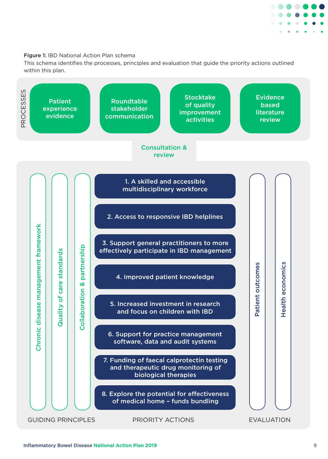

# Figure 1: IBD National Action Plan schema

This schema identifies the processes, principles and evaluation that guide the priority actions outlined within this plan.

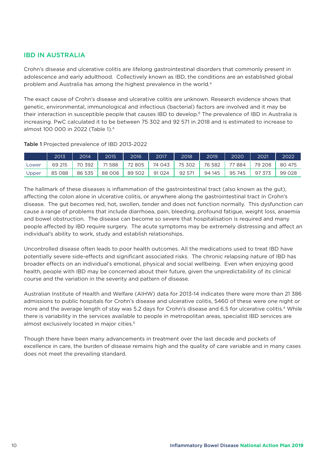# IBD IN AUSTRALIA

Crohn's disease and ulcerative colitis are Iifelong gastrointestinal disorders that commonly present in adolescence and early adulthood. Collectively known as IBD, the conditions are an established global problem and Australia has among the highest prevalence in the world.<sup>4</sup>

The exact cause of Crohn's disease and ulcerative colitis are unknown. Research evidence shows that genetic, environmental, immunological and infectious (bacterial) factors are involved and it may be their interaction in susceptible people that causes IBD to develop.<sup>9</sup> The prevalence of IBD in Australia is increasing. PwC calculated it to be between 75 302 and 92 571 in 2018 and is estimated to increase to almost 100 000 in 2022 (Table 1).4

|       | 2013    | 2014   | 2015   | 2016   | 2017   | 2018   | 2019   | 2020   | 2021   | 2022   |
|-------|---------|--------|--------|--------|--------|--------|--------|--------|--------|--------|
| Lower | 69 215  | 70 392 | 71588  | 72805  | 74 043 | 75 302 | 76 582 | 77 884 | 79 208 | 80 475 |
| Upper | 85 0 88 | 86 535 | 88 006 | 89 502 | 91024  | 9257   | 94 145 | 95 745 | 97 373 | 99 028 |

Table 1 Projected prevalence of IBD 2013-2022

The hallmark of these diseases is inflammation of the gastrointestinal tract (also known as the gut), affecting the colon alone in ulcerative colitis, or anywhere along the gastrointestinal tract in Crohn's disease. The gut becomes red, hot, swollen, tender and does not function normally. This dysfunction can cause a range of problems that include diarrhoea, pain, bleeding, profound fatigue, weight loss, anaemia and bowel obstruction. The disease can become so severe that hospitalisation is required and many people affected by IBD require surgery. The acute symptoms may be extremely distressing and affect an individual's ability to work, study and establish relationships.

Uncontrolled disease often leads to poor health outcomes. All the medications used to treat IBD have potentially severe side-effects and significant associated risks. The chronic relapsing nature of IBD has broader effects on an individual's emotional, physical and social wellbeing. Even when enjoying good health, people with IBD may be concerned about their future, given the unpredictability of its clinical course and the variation in the severity and pattern of disease.

Australian Institute of Health and Welfare (AIHW) data for 2013-14 indicates there were more than 21 386 admissions to public hospitals for Crohn's disease and ulcerative colitis, 5460 of these were one night or more and the average length of stay was 5.2 days for Crohn's disease and 6.5 for ulcerative colitis.<sup>4</sup> While there is variability in the services available to people in metropolitan areas, specialist IBD services are almost exclusively located in major cities.5

Though there have been many advancements in treatment over the last decade and pockets of excellence in care, the burden of disease remains high and the quality of care variable and in many cases does not meet the prevailing standard.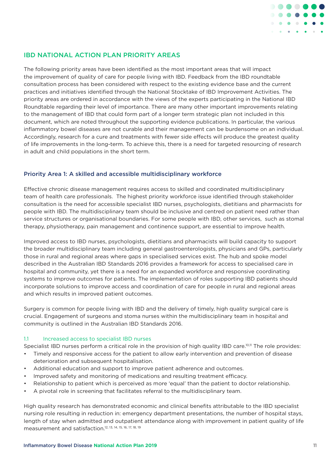

# IBD NATIONAL ACTION PLAN PRIORITY AREAS

The following priority areas have been identified as the most important areas that will impact the improvement of quality of care for people living with IBD. Feedback from the IBD roundtable consultation process has been considered with respect to the existing evidence base and the current practices and initiatives identified through the National Stocktake of IBD Improvement Activities. The priority areas are ordered in accordance with the views of the experts participating in the National IBD Roundtable regarding their level of importance. There are many other important improvements relating to the management of IBD that could form part of a longer term strategic plan not included in this document, which are noted throughout the supporting evidence publications. In particular, the various inflammatory bowel diseases are not curable and their management can be burdensome on an individual. Accordingly, research for a cure and treatments with fewer side effects will produce the greatest quality of life improvements in the long-term. To achieve this, there is a need for targeted resourcing of research in adult and child populations in the short term.

# Priority Area 1: A skilled and accessible multidisciplinary workforce

Effective chronic disease management requires access to skilled and coordinated multidisciplinary team of health care professionals. The highest priority workforce issue identified through stakeholder consultation is the need for accessible specialist IBD nurses, psychologists, dietitians and pharmacists for people with IBD. The multidisciplinary team should be inclusive and centred on patient need rather than service structures or organisational boundaries. For some people with IBD, other services, such as stomal therapy, physiotherapy, pain management and continence support, are essential to improve health.

Improved access to IBD nurses, psychologists, dietitians and pharmacists will build capacity to support the broader multidisciplinary team including general gastroenterologists, physicians and GPs, particularly those in rural and regional areas where gaps in specialised services exist. The hub and spoke model described in the Australian IBD Standards 2016 provides a framework for access to specialised care in hospital and community, yet there is a need for an expanded workforce and responsive coordinating systems to improve outcomes for patients. The implementation of roles supporting IBD patients should incorporate solutions to improve access and coordination of care for people in rural and regional areas and which results in improved patient outcomes.

Surgery is common for people living with IBD and the delivery of timely, high quality surgical care is crucial. Engagement of surgeons and stoma nurses within the multidisciplinary team in hospital and community is outlined in the Australian IBD Standards 2016.

## 1.1 Increased access to specialist IBD nurses

Specialist IBD nurses perform a critical role in the provision of high quality IBD care.<sup>10,11</sup> The role provides:

- Timely and responsive access for the patient to allow early intervention and prevention of disease deterioration and subsequent hospitalisation.
- Additional education and support to improve patient adherence and outcomes.
- Improved safety and monitoring of medications and resulting treatment efficacy.
- Relationship to patient which is perceived as more 'equal' than the patient to doctor relationship.
- A pivotal role in screening that facilitates referral to the multidisciplinary team.

High quality research has demonstrated economic and clinical benefits attributable to the IBD specialist nursing role resulting in reduction in: emergency department presentations, the number of hospital stays, length of stay when admitted and outpatient attendance along with improvement in patient quality of life measurement and satisfaction.12, 13, 14, 15, 16, 17, 18, 19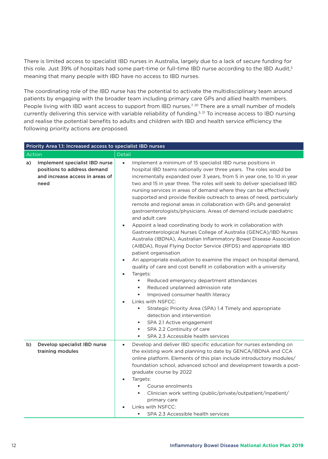There is limited access to specialist IBD nurses in Australia, largely due to a lack of secure funding for this role. Just 39% of hospitals had some part-time or full-time IBD nurse according to the IBD Audit,<sup>5</sup> meaning that many people with IBD have no access to IBD nurses.

The coordinating role of the IBD nurse has the potential to activate the multidisciplinary team around patients by engaging with the broader team including primary care GPs and allied health members. People living with IBD want access to support from IBD nurses.<sup>7, 20</sup> There are a small number of models currently delivering this service with variable reliability of funding.<sup>5, 21</sup> To increase access to IBD nursing and realise the potential benefits to adults and children with IBD and health service efficiency the following priority actions are proposed.

| Priority Area 1.1: Increased access to specialist IBD nurses                                                   |                                                                                                                                                                                                                                                                                                                                                                                                                                                                                                                                                                                                                                                                                                                                                                                                                                                                                                                                                                                                                                                                                                                                                                                                                                                                                                                                                                                                                                                                             |  |  |  |  |  |
|----------------------------------------------------------------------------------------------------------------|-----------------------------------------------------------------------------------------------------------------------------------------------------------------------------------------------------------------------------------------------------------------------------------------------------------------------------------------------------------------------------------------------------------------------------------------------------------------------------------------------------------------------------------------------------------------------------------------------------------------------------------------------------------------------------------------------------------------------------------------------------------------------------------------------------------------------------------------------------------------------------------------------------------------------------------------------------------------------------------------------------------------------------------------------------------------------------------------------------------------------------------------------------------------------------------------------------------------------------------------------------------------------------------------------------------------------------------------------------------------------------------------------------------------------------------------------------------------------------|--|--|--|--|--|
| Action                                                                                                         | Detail                                                                                                                                                                                                                                                                                                                                                                                                                                                                                                                                                                                                                                                                                                                                                                                                                                                                                                                                                                                                                                                                                                                                                                                                                                                                                                                                                                                                                                                                      |  |  |  |  |  |
| Implement specialist IBD nurse<br>a)<br>positions to address demand<br>and increase access in areas of<br>need | Implement a minimum of 15 specialist IBD nurse positions in<br>$\bullet$<br>hospital IBD teams nationally over three years. The roles would be<br>incrementally expanded over 3 years, from 5 in year one, to 10 in year<br>two and 15 in year three. The roles will seek to deliver specialised IBD<br>nursing services in areas of demand where they can be effectively<br>supported and provide flexible outreach to areas of need, particularly<br>remote and regional areas in collaboration with GPs and generalist<br>gastroenterologists/physicians. Areas of demand include paediatric<br>and adult care<br>Appoint a lead coordinating body to work in collaboration with<br>٠<br>Gastroenterological Nurses College of Australia (GENCA)/IBD Nurses<br>Australia (IBDNA), Australian Inflammatory Bowel Disease Association<br>(AIBDA), Royal Flying Doctor Service (RFDS) and appropriate IBD<br>patient organisation<br>An appropriate evaluation to examine the impact on hospital demand,<br>$\bullet$<br>quality of care and cost benefit in collaboration with a university<br>Targets:<br>Reduced emergency department attendances<br>٠<br>Reduced unplanned admission rate<br>٠<br>Improved consumer health literacy<br>٠<br>Links with NSFCC:<br>Strategic Priority Area (SPA) 1.4 Timely and appropriate<br>detection and intervention<br>SPA 2.1 Active engagement<br>٠<br>SPA 2.2 Continuity of care<br>٠<br>SPA 2.3 Accessible health services<br>٠ |  |  |  |  |  |
| Develop specialist IBD nurse<br>b)<br>training modules                                                         | Develop and deliver IBD specific education for nurses extending on<br>$\bullet$<br>the existing work and planning to date by GENCA/IBDNA and CCA<br>online platform. Elements of this plan include introductory modules/<br>foundation school, advanced school and development towards a post-<br>graduate course by 2022<br>Targets:<br>Course enrolments<br>٠<br>Clinician work setting (public/private/outpatient/inpatient/<br>٠<br>primary care<br>Links with NSFCC:<br>SPA 2.3 Accessible health services<br>٠                                                                                                                                                                                                                                                                                                                                                                                                                                                                                                                                                                                                                                                                                                                                                                                                                                                                                                                                                        |  |  |  |  |  |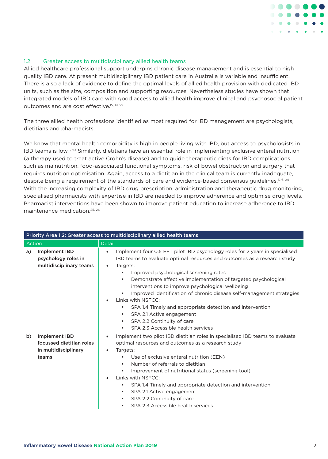

# 1.2 Greater access to multidisciplinary allied health teams

Allied healthcare professional support underpins chronic disease management and is essential to high quality IBD care. At present multidisciplinary IBD patient care in Australia is variable and insufficient. There is also a lack of evidence to define the optimal levels of allied health provision with dedicated IBD units, such as the size, composition and supporting resources. Nevertheless studies have shown that integrated models of IBD care with good access to allied health improve clinical and psychosocial patient outcomes and are cost effective.<sup>15, 19, 22</sup>

The three allied health professions identified as most required for IBD management are psychologists, dietitians and pharmacists.

We know that mental health comorbidity is high in people living with IBD, but access to psychologists in IBD teams is low.5, 23 Similarly, dietitians have an essential role in implementing exclusive enteral nutrition (a therapy used to treat active Crohn's disease) and to guide therapeutic diets for IBD complications such as malnutrition, food-associated functional symptoms, risk of bowel obstruction and surgery that requires nutrition optimisation. Again, access to a dietitian in the clinical team is currently inadequate, despite being a requirement of the standards of care and evidence-based consensus guidelines.<sup>5, 6, 24</sup> With the increasing complexity of IBD drug prescription, administration and therapeutic drug monitoring, specialised pharmacists with expertise in IBD are needed to improve adherence and optimise drug levels. Pharmacist interventions have been shown to improve patient education to increase adherence to IBD maintenance medication.25, 26

|        | Priority Area 1.2: Greater access to multidisciplinary allied health teams        |                                                                                                                                                                                                                                                                                                                                                                                                                                                                                                                                                                                                                                                                            |  |  |  |  |
|--------|-----------------------------------------------------------------------------------|----------------------------------------------------------------------------------------------------------------------------------------------------------------------------------------------------------------------------------------------------------------------------------------------------------------------------------------------------------------------------------------------------------------------------------------------------------------------------------------------------------------------------------------------------------------------------------------------------------------------------------------------------------------------------|--|--|--|--|
| Action |                                                                                   | Detail                                                                                                                                                                                                                                                                                                                                                                                                                                                                                                                                                                                                                                                                     |  |  |  |  |
| a)     | <b>Implement IBD</b><br>psychology roles in<br>multidisciplinary teams            | Implement four 0.5 EFT pilot IBD psychology roles for 2 years in specialised<br>$\bullet$<br>IBD teams to evaluate optimal resources and outcomes as a research study<br>Targets:<br>$\bullet$<br>Improved psychological screening rates<br>٠<br>Demonstrate effective implementation of targeted psychological<br>٠<br>interventions to improve psychological wellbeing<br>Improved identification of chronic disease self-management strategies<br>٠<br>Links with NSFCC:<br>$\bullet$<br>SPA 1.4 Timely and appropriate detection and intervention<br>٠<br>SPA 2.1 Active engagement<br>٠<br>SPA 2.2 Continuity of care<br>٠<br>SPA 2.3 Accessible health services<br>٠ |  |  |  |  |
| b)     | <b>Implement IBD</b><br>focussed dietitian roles<br>in multidisciplinary<br>teams | Implement two pilot IBD dietitian roles in specialised IBD teams to evaluate<br>٠<br>optimal resources and outcomes as a research study<br>Targets:<br>$\bullet$<br>Use of exclusive enteral nutrition (EEN)<br>٠<br>Number of referrals to dietitian<br>٠<br>Improvement of nutritional status (screening tool)<br>٠<br>Links with NSFCC:<br>$\bullet$<br>SPA 1.4 Timely and appropriate detection and intervention<br>٠<br>SPA 2.1 Active engagement<br>٠<br>SPA 2.2 Continuity of care<br>٠<br>SPA 2.3 Accessible health services<br>٠                                                                                                                                  |  |  |  |  |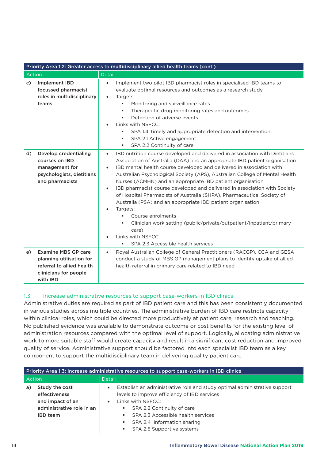|        | Priority Area 1.2: Greater access to multidisciplinary allied health teams (cont.)                                       |                                                                                                                                                                                                                                                                                                                                                                                                                                                                                                                                                                                                                                                                                                                                                                                                                                        |  |  |  |
|--------|--------------------------------------------------------------------------------------------------------------------------|----------------------------------------------------------------------------------------------------------------------------------------------------------------------------------------------------------------------------------------------------------------------------------------------------------------------------------------------------------------------------------------------------------------------------------------------------------------------------------------------------------------------------------------------------------------------------------------------------------------------------------------------------------------------------------------------------------------------------------------------------------------------------------------------------------------------------------------|--|--|--|
| Action |                                                                                                                          | Detail                                                                                                                                                                                                                                                                                                                                                                                                                                                                                                                                                                                                                                                                                                                                                                                                                                 |  |  |  |
| c)     | <b>Implement IBD</b><br>focussed pharmacist<br>roles in multidisciplinary<br>teams                                       | Implement two pilot IBD pharmacist roles in specialised IBD teams to<br>$\bullet$<br>evaluate optimal resources and outcomes as a research study<br>Targets:<br>$\bullet$<br>Monitoring and surveillance rates<br>٠<br>Therapeutic drug monitoring rates and outcomes<br>٠<br>Detection of adverse events<br>٠<br>Links with NSFCC:<br>SPA 1.4 Timely and appropriate detection and intervention<br>SPA 2.1 Active engagement<br>٠<br>SPA 2.2 Continuity of care<br>٠                                                                                                                                                                                                                                                                                                                                                                  |  |  |  |
| d)     | Develop credentialing<br>courses on IBD<br>management for<br>psychologists, dietitians<br>and pharmacists                | IBD nutrition course developed and delivered in association with Dietitians<br>$\bullet$<br>Association of Australia (DAA) and an appropriate IBD patient organisation<br>IBD mental health course developed and delivered in association with<br>$\bullet$<br>Australian Psychological Society (APS), Australian College of Mental Health<br>Nurses (ACMHN) and an appropriate IBD patient organisation<br>IBD pharmacist course developed and delivered in association with Society<br>$\bullet$<br>of Hospital Pharmacists of Australia (SHPA), Pharmaceutical Society of<br>Australia (PSA) and an appropriate IBD patient organisation<br>Targets:<br>Course enrolments<br>٠<br>Clinician work setting (public/private/outpatient/inpatient/primary<br>٠<br>care)<br>Links with NSFCC:<br>SPA 2.3 Accessible health services<br>٠ |  |  |  |
| e)     | <b>Examine MBS GP care</b><br>planning utilisation for<br>referral to allied health<br>clinicians for people<br>with IBD | Royal Australian College of General Practitioners (RACGP), CCA and GESA<br>$\bullet$<br>conduct a study of MBS GP management plans to identify uptake of allied<br>health referral in primary care related to IBD need                                                                                                                                                                                                                                                                                                                                                                                                                                                                                                                                                                                                                 |  |  |  |

# 1.3 Increase administrative resources to support case-workers in IBD clinics

Administrative duties are required as part of IBD patient care and this has been consistently documented in various studies across multiple countries. The administrative burden of IBD care restricts capacity within clinical roles, which could be directed more productively at patient care, research and teaching. No published evidence was available to demonstrate outcome or cost benefits for the existing level of administration resources compared with the optimal level of support. Logically, allocating administrative work to more suitable staff would create capacity and result in a significant cost reduction and improved quality of service. Administrative support should be factored into each specialist IBD team as a key component to support the multidisciplinary team in delivering quality patient care.

| Priority Area 1.3: Increase administrative resources to support case-workers in IBD clinics               |                                                                                                                                                                                                                                                                                                                               |  |  |  |
|-----------------------------------------------------------------------------------------------------------|-------------------------------------------------------------------------------------------------------------------------------------------------------------------------------------------------------------------------------------------------------------------------------------------------------------------------------|--|--|--|
| Action                                                                                                    | Detail                                                                                                                                                                                                                                                                                                                        |  |  |  |
| Study the cost<br>a)<br>effectiveness<br>and impact of an<br>administrative role in an<br><b>IBD</b> team | Establish an administrative role and study optimal administrative support<br>$\bullet$<br>levels to improve efficiency of IBD services<br>Links with NSFCC:<br>$\bullet$<br>SPA 2.2 Continuity of care<br>٠<br>SPA 2.3 Accessible health services<br>٠<br>SPA 2.4 Information sharing<br>٠<br>SPA 2.5 Supportive systems<br>٠ |  |  |  |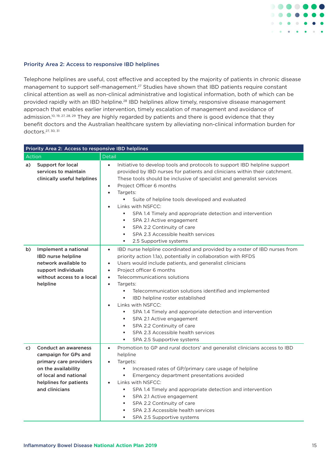

#### Priority Area 2: Access to responsive IBD helplines

Telephone helplines are useful, cost effective and accepted by the majority of patients in chronic disease management to support self-management.<sup>27</sup> Studies have shown that IBD patients require constant clinical attention as well as non-clinical administrative and logistical information, both of which can be provided rapidly with an IBD helpline.<sup>28</sup> IBD helplines allow timely, responsive disease management approach that enables earlier intervention, timely escalation of management and avoidance of admission.<sup>10, 19, 27, 28, 29</sup> They are highly regarded by patients and there is good evidence that they benefit doctors and the Australian healthcare system by alleviating non-clinical information burden for doctors.27, 30, 31

|                                                                    |                                                                                                                                  | Priority Area 2: Access to responsive IBD helplines                                                                                                                                                                                                                                                                                                                                                                                                                                                                                                                                                                                                                                            |
|--------------------------------------------------------------------|----------------------------------------------------------------------------------------------------------------------------------|------------------------------------------------------------------------------------------------------------------------------------------------------------------------------------------------------------------------------------------------------------------------------------------------------------------------------------------------------------------------------------------------------------------------------------------------------------------------------------------------------------------------------------------------------------------------------------------------------------------------------------------------------------------------------------------------|
| Action                                                             |                                                                                                                                  | <b>Detail</b>                                                                                                                                                                                                                                                                                                                                                                                                                                                                                                                                                                                                                                                                                  |
| <b>Support for local</b><br>a)<br>services to maintain             | clinically useful helplines                                                                                                      | Initiative to develop tools and protocols to support IBD helpline support<br>$\bullet$<br>provided by IBD nurses for patients and clinicians within their catchment.<br>These tools should be inclusive of specialist and generalist services<br>Project Officer 6 months<br>$\bullet$<br>Targets:<br>$\bullet$<br>Suite of helpline tools developed and evaluated<br>Links with NSFCC:<br>$\bullet$<br>SPA 1.4 Timely and appropriate detection and intervention<br>٠<br>SPA 2.1 Active engagement<br>٠<br>SPA 2.2 Continuity of care<br>٠<br>SPA 2.3 Accessible health services<br>٠<br>2.5 Supportive systems                                                                               |
| b)<br><b>IBD nurse helpline</b><br>support individuals<br>helpline | Implement a national<br>network available to<br>without access to a local                                                        | IBD nurse helpline coordinated and provided by a roster of IBD nurses from<br>$\bullet$<br>priority action 1.1a), potentially in collaboration with RFDS<br>Users would include patients, and generalist clinicians<br>$\bullet$<br>Project officer 6 months<br>$\bullet$<br>Telecommunications solutions<br>$\bullet$<br>Targets:<br>$\bullet$<br>٠<br>Telecommunication solutions identified and implemented<br>IBD helpline roster established<br>٠<br>Links with NSFCC:<br>$\bullet$<br>SPA 1.4 Timely and appropriate detection and intervention<br>SPA 2.1 Active engagement<br>٠<br>SPA 2.2 Continuity of care<br>SPA 2.3 Accessible health services<br>٠<br>SPA 2.5 Supportive systems |
| c)<br>on the availability<br>and clinicians                        | <b>Conduct an awareness</b><br>campaign for GPs and<br>primary care providers<br>of local and national<br>helplines for patients | Promotion to GP and rural doctors' and generalist clinicians access to IBD<br>$\bullet$<br>helpline<br>Targets:<br>$\bullet$<br>Increased rates of GP/primary care usage of helpline<br>٠<br>Emergency department presentations avoided<br>٠<br>Links with NSFCC:<br>$\bullet$<br>SPA 1.4 Timely and appropriate detection and intervention<br>٠<br>SPA 2.1 Active engagement<br>٠<br>SPA 2.2 Continuity of care<br>٠<br>SPA 2.3 Accessible health services<br>SPA 2.5 Supportive systems<br>٠                                                                                                                                                                                                 |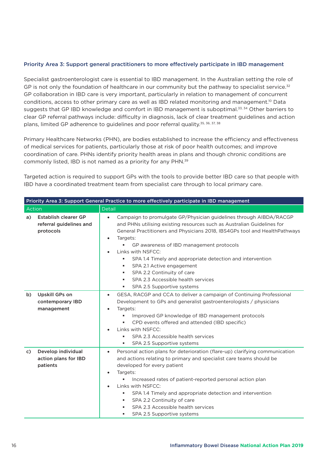# Priority Area 3: Support general practitioners to more effectively participate in IBD management

Specialist gastroenterologist care is essential to IBD management. In the Australian setting the role of GP is not only the foundation of healthcare in our community but the pathway to specialist service.<sup>32</sup> GP collaboration in IBD care is very important, particularly in relation to management of concurrent conditions, access to other primary care as well as IBD related monitoring and management.<sup>10</sup> Data suggests that GP IBD knowledge and comfort in IBD management is suboptimal.<sup>33, 34</sup> Other barriers to clear GP referral pathways include: difficulty in diagnosis, lack of clear treatment guidelines and action plans, limited GP adherence to guidelines and poor referral quality.<sup>35, 36, 37, 38</sup>

Primary Healthcare Networks (PHN), are bodies established to increase the efficiency and effectiveness of medical services for patients, particularly those at risk of poor health outcomes; and improve coordination of care. PHNs identify priority health areas in plans and though chronic conditions are commonly listed, IBD is not named as a priority for any PHN.39

Targeted action is required to support GPs with the tools to provide better IBD care so that people with IBD have a coordinated treatment team from specialist care through to local primary care.

|        | Priority Area 3: Support General Practice to more effectively participate in IBD management |                                                                                                                                                                                                                                                                                                                                                                                                                                                                                                                                                                 |  |  |  |  |
|--------|---------------------------------------------------------------------------------------------|-----------------------------------------------------------------------------------------------------------------------------------------------------------------------------------------------------------------------------------------------------------------------------------------------------------------------------------------------------------------------------------------------------------------------------------------------------------------------------------------------------------------------------------------------------------------|--|--|--|--|
| Action |                                                                                             | Detail                                                                                                                                                                                                                                                                                                                                                                                                                                                                                                                                                          |  |  |  |  |
| a)     | <b>Establish clearer GP</b><br>referral guidelines and<br>protocols                         | Campaign to promulgate GP/Physician guidelines through AIBDA/RACGP<br>$\bullet$<br>and PHNs utilising existing resources such as Australian Guidelines for<br>General Practitioners and Physicians 2018, IBS4GPs tool and HealthPathways<br>Targets:<br>$\bullet$<br>GP awareness of IBD management protocols<br>Links with NSFCC:<br>$\bullet$<br>SPA 1.4 Timely and appropriate detection and intervention<br>SPA 2.1 Active engagement<br>٠<br>SPA 2.2 Continuity of care<br>٠<br>SPA 2.3 Accessible health services<br>٠<br>SPA 2.5 Supportive systems<br>٠ |  |  |  |  |
| b)     | Upskill GPs on<br>contemporary IBD<br>management                                            | GESA, RACGP and CCA to deliver a campaign of Continuing Professional<br>$\bullet$<br>Development to GPs and generalist gastroenterologists / physicians<br>Targets:<br>$\bullet$<br>Improved GP knowledge of IBD management protocols<br>CPD events offered and attended (IBD specific)<br>Links with NSFCC:<br>$\bullet$<br>SPA 2.3 Accessible health services<br>SPA 2.5 Supportive systems                                                                                                                                                                   |  |  |  |  |
| C)     | Develop individual<br>action plans for IBD<br>patients                                      | Personal action plans for deterioration (flare-up) clarifying communication<br>$\bullet$<br>and actions relating to primary and specialist care teams should be<br>developed for every patient<br>Targets:<br>$\bullet$<br>Increased rates of patient-reported personal action plan<br>Links with NSFCC:<br>¢<br>SPA 1.4 Timely and appropriate detection and intervention<br>٠<br>SPA 2.2 Continuity of care<br>٠<br>SPA 2.3 Accessible health services<br>SPA 2.5 Supportive systems<br>٠                                                                     |  |  |  |  |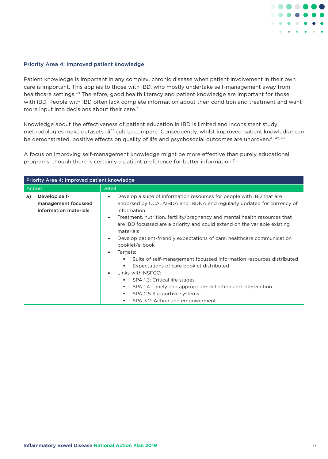

#### Priority Area 4: Improved patient knowledge

Patient knowledge is important in any complex, chronic disease when patient involvement in their own care is important. This applies to those with IBD, who mostly undertake self-management away from healthcare settings.<sup>40</sup> Therefore, good health literacy and patient knowledge are important for those with IBD. People with IBD often lack complete information about their condition and treatment and want more input into decisions about their care.<sup>7</sup>

Knowledge about the effectiveness of patient education in IBD is limited and inconsistent study methodologies make datasets difficult to compare. Consequently, whilst improved patient knowledge can be demonstrated, positive effects on quality of life and psychosocial outcomes are unproven.<sup>41, 42, 43</sup>

A focus on improving self-management knowledge might be more effective than purely educational programs, though there is certainly a patient preference for better information.7

|        | Priority Area 4: Improved patient knowledge                   |                                                                                                                                                                                                                                                                                                                                                                                                                                                                                                                                                                                                                                                                                                                                                                                                                                                  |  |  |  |
|--------|---------------------------------------------------------------|--------------------------------------------------------------------------------------------------------------------------------------------------------------------------------------------------------------------------------------------------------------------------------------------------------------------------------------------------------------------------------------------------------------------------------------------------------------------------------------------------------------------------------------------------------------------------------------------------------------------------------------------------------------------------------------------------------------------------------------------------------------------------------------------------------------------------------------------------|--|--|--|
| Action |                                                               | <b>Detail</b>                                                                                                                                                                                                                                                                                                                                                                                                                                                                                                                                                                                                                                                                                                                                                                                                                                    |  |  |  |
| a)     | Develop self-<br>management focussed<br>information materials | Develop a suite of information resources for people with IBD that are<br>$\bullet$<br>endorsed by CCA, AIBDA and IBDNA and regularly updated for currency of<br>information<br>Treatment, nutrition, fertility/pregnancy and mental health resources that<br>$\bullet$<br>are IBD focussed are a priority and could extend on the variable existing<br>materials<br>Develop patient-friendly expectations of care, healthcare communication<br>$\bullet$<br>booklet/e-book<br>Targets:<br>$\bullet$<br>Suite of self-management focussed information resources distributed<br>л<br>Expectations of care booklet distributed<br>٠<br>Links with NSFCC:<br>$\bullet$<br>SPA 1.3: Critical life stages<br>٠<br>SPA 1.4 Timely and appropriate detection and intervention<br>٠<br>SPA 2.5 Supportive systems<br>٠<br>SPA 3.2: Action and empowerment |  |  |  |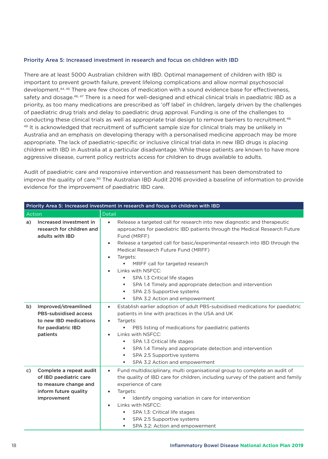## Priority Area 5: Increased investment in research and focus on children with IBD

There are at least 5000 Australian children with IBD. Optimal management of children with IBD is important to prevent growth failure, prevent lifelong complications and allow normal psychosocial development.44, 45 There are few choices of medication with a sound evidence base for effectiveness, safety and dosage.<sup>46, 47</sup> There is a need for well-designed and ethical clinical trials in paediatric IBD as a priority, as too many medications are prescribed as 'off label' in children, largely driven by the challenges of paediatric drug trials and delay to paediatric drug approval. Funding is one of the challenges to conducting these clinical trials as well as appropriate trial design to remove barriers to recruitment.<sup>48,</sup> 49 It is acknowledged that recruitment of sufficient sample size for clinical trials may be unlikely in Australia and an emphasis on developing therapy with a personalised medicine approach may be more appropriate. The lack of paediatric-specific or inclusive clinical trial data in new IBD drugs is placing children with IBD in Australia at a particular disadvantage. While these patients are known to have more aggressive disease, current policy restricts access for children to drugs available to adults.

Audit of paediatric care and responsive intervention and reassessment has been demonstrated to improve the quality of care.<sup>50</sup> The Australian IBD Audit 2016 provided a baseline of information to provide evidence for the improvement of paediatric IBD care.

|        | Priority Area 5: Increased investment in research and focus on children with IBD                                   |                                                                                                                                                                                                                                                                                                                                                                                                                                                                                                                                                                                             |  |  |  |
|--------|--------------------------------------------------------------------------------------------------------------------|---------------------------------------------------------------------------------------------------------------------------------------------------------------------------------------------------------------------------------------------------------------------------------------------------------------------------------------------------------------------------------------------------------------------------------------------------------------------------------------------------------------------------------------------------------------------------------------------|--|--|--|
| Action |                                                                                                                    | <b>Detail</b>                                                                                                                                                                                                                                                                                                                                                                                                                                                                                                                                                                               |  |  |  |
| a)     | Increased investment in<br>research for children and<br>adults with IBD                                            | Release a targeted call for research into new diagnostic and therapeutic<br>$\bullet$<br>approaches for paediatric IBD patients through the Medical Research Future<br>Fund (MRFF)<br>Release a targeted call for basic/experimental research into IBD through the<br>$\bullet$<br>Medical Research Future Fund (MRFF)<br>Targets:<br>$\bullet$<br>MRFF call for targeted research<br>Links with NSFCC:<br>$\bullet$<br>SPA 1.3 Critical life stages<br>SPA 1.4 Timely and appropriate detection and intervention<br>٠<br>SPA 2.5 Supportive systems<br>٠<br>SPA 3.2 Action and empowerment |  |  |  |
| b)     | Improved/streamlined<br>PBS-subsidised access<br>to new IBD medications<br>for paediatric IBD<br>patients          | Establish earlier adoption of adult PBS-subsidised medications for paediatric<br>$\bullet$<br>patients in line with practices in the USA and UK<br>Targets:<br>$\bullet$<br>PBS listing of medications for paediatric patients<br>Links with NSFCC:<br>$\bullet$<br>SPA 1.3 Critical life stages<br>٠<br>SPA 1.4 Timely and appropriate detection and intervention<br>٠<br>SPA 2.5 Supportive systems<br>٠<br>SPA 3.2 Action and empowerment                                                                                                                                                |  |  |  |
| C)     | Complete a repeat audit<br>of IBD paediatric care<br>to measure change and<br>inform future quality<br>improvement | Fund multidisciplinary, multi organisational group to complete an audit of<br>$\bullet$<br>the quality of IBD care for children, including survey of the patient and family<br>experience of care<br>Targets:<br>$\bullet$<br>Identify ongoing variation in care for intervention<br>Links with NSFCC:<br>$\bullet$<br>SPA 1.3: Critical life stages<br>٠<br>SPA 2.5 Supportive systems<br>٠<br>SPA 3.2: Action and empowerment<br>٠                                                                                                                                                        |  |  |  |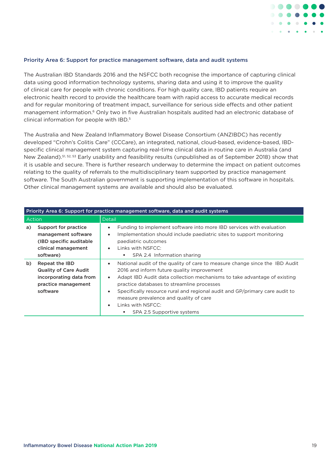

#### Priority Area 6: Support for practice management software, data and audit systems

The Australian IBD Standards 2016 and the NSFCC both recognise the importance of capturing clinical data using good information technology systems, sharing data and using it to improve the quality of clinical care for people with chronic conditions. For high quality care, IBD patients require an electronic health record to provide the healthcare team with rapid access to accurate medical records and for regular monitoring of treatment impact, surveillance for serious side effects and other patient management information.<sup>6</sup> Only two in five Australian hospitals audited had an electronic database of clinical information for people with IBD.5

The Australia and New Zealand Inflammatory Bowel Disease Consortium (ANZIBDC) has recently developed "Crohn's Colitis Care" (CCCare), an integrated, national, cloud-based, evidence-based, IBDspecific clinical management system capturing real-time clinical data in routine care in Australia (and New Zealand).<sup>51, 52, 53</sup> Early usability and feasibility results (unpublished as of September 2018) show that it is usable and secure. There is further research underway to determine the impact on patient outcomes relating to the quality of referrals to the multidisciplinary team supported by practice management software. The South Australian government is supporting implementation of this software in hospitals. Other clinical management systems are available and should also be evaluated.

| Priority Area 6: Support for practice management software, data and audit systems |                                                                                                                     |                                                                                                                                                                                                                                                                                                                                                                                                                                                                                     |  |  |  |
|-----------------------------------------------------------------------------------|---------------------------------------------------------------------------------------------------------------------|-------------------------------------------------------------------------------------------------------------------------------------------------------------------------------------------------------------------------------------------------------------------------------------------------------------------------------------------------------------------------------------------------------------------------------------------------------------------------------------|--|--|--|
| Action                                                                            |                                                                                                                     | <b>Detail</b>                                                                                                                                                                                                                                                                                                                                                                                                                                                                       |  |  |  |
| a)                                                                                | Support for practice<br>management software<br>(IBD specific auditable)<br>clinical management<br>software)         | Funding to implement software into more IBD services with evaluation<br>$\bullet$<br>Implementation should include paediatric sites to support monitoring<br>$\bullet$<br>paediatric outcomes<br>Links with NSFCC:<br>$\bullet$<br>SPA 2.4 Information sharing<br>٠.                                                                                                                                                                                                                |  |  |  |
| b)                                                                                | <b>Repeat the IBD</b><br><b>Quality of Care Audit</b><br>incorporating data from<br>practice management<br>software | National audit of the quality of care to measure change since the IBD Audit<br>$\bullet$<br>2016 and inform future quality improvement<br>Adapt IBD Audit data collection mechanisms to take advantage of existing<br>$\bullet$<br>practice databases to streamline processes<br>Specifically resource rural and regional audit and GP/primary care audit to<br>$\bullet$<br>measure prevalence and quality of care<br>Links with NSFCC:<br>$\bullet$<br>SPA 2.5 Supportive systems |  |  |  |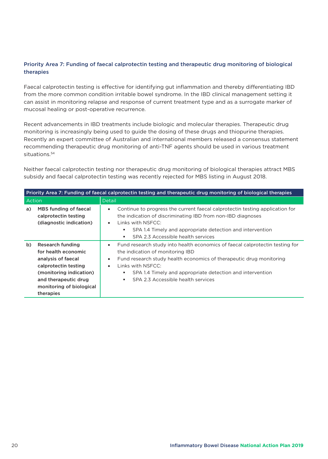# Priority Area 7: Funding of faecal calprotectin testing and therapeutic drug monitoring of biological therapies

Faecal calprotectin testing is effective for identifying gut inflammation and thereby differentiating IBD from the more common condition irritable bowel syndrome. In the IBD clinical management setting it can assist in monitoring relapse and response of current treatment type and as a surrogate marker of mucosal healing or post-operative recurrence.

Recent advancements in IBD treatments include biologic and molecular therapies. Therapeutic drug monitoring is increasingly being used to guide the dosing of these drugs and thiopurine therapies. Recently an expert committee of Australian and international members released a consensus statement recommending therapeutic drug monitoring of anti-TNF agents should be used in various treatment situations.<sup>54</sup>

Neither faecal calprotectin testing nor therapeutic drug monitoring of biological therapies attract MBS subsidy and faecal calprotectin testing was recently rejected for MBS listing in August 2018.

| Priority Area 7: Funding of faecal calprotectin testing and therapeutic drug monitoring of biological therapies |                                                                                                                                                                                          |                                                                                                                                                                                                                                                                                                                                                        |  |  |  |
|-----------------------------------------------------------------------------------------------------------------|------------------------------------------------------------------------------------------------------------------------------------------------------------------------------------------|--------------------------------------------------------------------------------------------------------------------------------------------------------------------------------------------------------------------------------------------------------------------------------------------------------------------------------------------------------|--|--|--|
| Action                                                                                                          |                                                                                                                                                                                          | <b>Detail</b>                                                                                                                                                                                                                                                                                                                                          |  |  |  |
| a)                                                                                                              | MBS funding of faecal<br>calprotectin testing<br>(diagnostic indication)                                                                                                                 | Continue to progress the current faecal calprotectin testing application for<br>$\bullet$<br>the indication of discriminating IBD from non-IBD diagnoses<br>Links with NSFCC:<br>$\bullet$<br>SPA 1.4 Timely and appropriate detection and intervention<br>SPA 2.3 Accessible health services<br>٠                                                     |  |  |  |
| b)                                                                                                              | <b>Research funding</b><br>for health economic<br>analysis of faecal<br>calprotectin testing<br>(monitoring indication)<br>and therapeutic drug<br>monitoring of biological<br>therapies | Fund research study into health economics of faecal calprotectin testing for<br>$\bullet$<br>the indication of monitoring IBD<br>Fund research study health economics of therapeutic drug monitoring<br>$\bullet$<br>Links with NSFCC:<br>$\bullet$<br>SPA 1.4 Timely and appropriate detection and intervention<br>SPA 2.3 Accessible health services |  |  |  |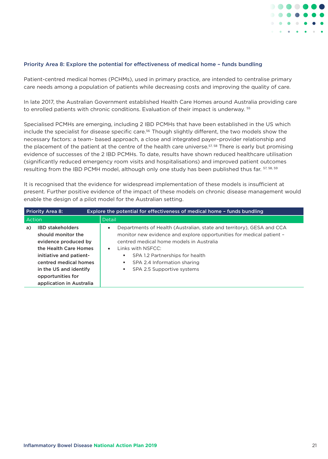

#### Priority Area 8: Explore the potential for effectiveness of medical home – funds bundling

Patient-centred medical homes (PCHMs), used in primary practice, are intended to centralise primary care needs among a population of patients while decreasing costs and improving the quality of care.

In late 2017, the Australian Government established Health Care Homes around Australia providing care to enrolled patients with chronic conditions. Evaluation of their impact is underway. <sup>55</sup>

Specialised PCMHs are emerging, including 2 IBD PCMHs that have been established in the US which include the specialist for disease specific care.<sup>56</sup> Though slightly different, the two models show the necessary factors: a team- based approach, a close and integrated payer–provider relationship and the placement of the patient at the centre of the health care universe.<sup>57, 58</sup> There is early but promising evidence of successes of the 2 IBD PCMHs. To date, results have shown reduced healthcare utilisation (significantly reduced emergency room visits and hospitalisations) and improved patient outcomes resulting from the IBD PCMH model, although only one study has been published thus far. 57, 58, 59

It is recognised that the evidence for widespread implementation of these models is insufficient at present. Further positive evidence of the impact of these models on chronic disease management would enable the design of a pilot model for the Australian setting.

| <b>Priority Area 8:</b><br>Explore the potential for effectiveness of medical home - funds bundling |                                                                                                                                                                                                                               |                                                                                                                                                                                                                                                                                                                                                |  |  |  |
|-----------------------------------------------------------------------------------------------------|-------------------------------------------------------------------------------------------------------------------------------------------------------------------------------------------------------------------------------|------------------------------------------------------------------------------------------------------------------------------------------------------------------------------------------------------------------------------------------------------------------------------------------------------------------------------------------------|--|--|--|
| Action                                                                                              |                                                                                                                                                                                                                               | Detail                                                                                                                                                                                                                                                                                                                                         |  |  |  |
| a)                                                                                                  | <b>IBD stakeholders</b><br>should monitor the<br>evidence produced by<br>the Health Care Homes<br>initiative and patient-<br>centred medical homes<br>in the US and identify<br>opportunities for<br>application in Australia | Departments of Health (Australian, state and territory), GESA and CCA<br>$\bullet$<br>monitor new evidence and explore opportunities for medical patient -<br>centred medical home models in Australia<br>Links with NSECC:<br>$\bullet$<br>SPA 1.2 Partnerships for health<br>SPA 2.4 Information sharing<br>п.<br>SPA 2.5 Supportive systems |  |  |  |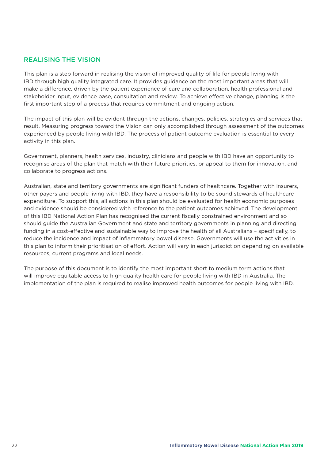# REALISING THE VISION

This plan is a step forward in realising the vision of improved quality of life for people living with IBD through high quality integrated care. It provides guidance on the most important areas that will make a difference, driven by the patient experience of care and collaboration, health professional and stakeholder input, evidence base, consultation and review. To achieve effective change, planning is the first important step of a process that requires commitment and ongoing action.

The impact of this plan will be evident through the actions, changes, policies, strategies and services that result. Measuring progress toward the Vision can only accomplished through assessment of the outcomes experienced by people living with IBD. The process of patient outcome evaluation is essential to every activity in this plan.

Government, planners, health services, industry, clinicians and people with IBD have an opportunity to recognise areas of the plan that match with their future priorities, or appeal to them for innovation, and collaborate to progress actions.

Australian, state and territory governments are significant funders of healthcare. Together with insurers, other payers and people living with IBD, they have a responsibility to be sound stewards of healthcare expenditure. To support this, all actions in this plan should be evaluated for health economic purposes and evidence should be considered with reference to the patient outcomes achieved. The development of this IBD National Action Plan has recognised the current fiscally constrained environment and so should guide the Australian Government and state and territory governments in planning and directing funding in a cost-effective and sustainable way to improve the health of all Australians – specifically, to reduce the incidence and impact of inflammatory bowel disease. Governments will use the activities in this plan to inform their prioritisation of effort. Action will vary in each jurisdiction depending on available resources, current programs and local needs.

The purpose of this document is to identify the most important short to medium term actions that will improve equitable access to high quality health care for people living with IBD in Australia. The implementation of the plan is required to realise improved health outcomes for people living with IBD.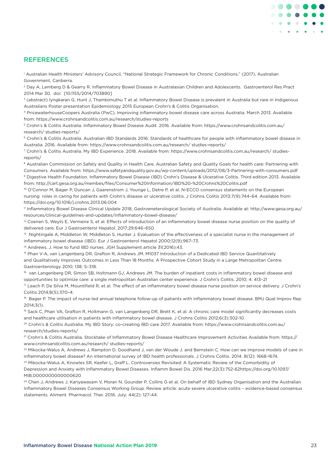# **REFERENCES**

1 Australian Health Ministers' Advisory Council, "National Strategic Framework for Chronic Conditions," (2017), Australian Government, Canberra.

2 Day A, Lemberg D & Gearry R. Inflammatory Bowel Disease in Australasian Children and Adolescents. Gastroenterol Res Pract 2014 Mar 30. doi: [10.1155/2014/703890]

<sup>3</sup> (abstract) Ivngkaran G. Hunt J. Thambimuthu T et al. Inflammatory Bowel Disease is prevalent in Australia but rare in Indigenous Australians Poster presentation Epidemiology 2015 European Crohn's & Colitis Organisation.

4 PricewaterhouseCoopers Australia (PwC). Improving inflammatory bowel disease care across Australia. March 2013. Available from: https://www.crohnsandcolitis.com.au/research/studies-reports

5 Crohn's & Colitis Australia. Inflammatory Bowel Disease Audit. 2016. Available from: https://www.crohnsandcolitis.com.au/ research/ studies-reports/

<sup>6</sup> Crohn's & Colitis Australia. Australian IBD Standards 2016: Standards of healthcare for people with inflammatory bowel disease in Australia. 2016. Available from: https://www.crohnsandcolitis.com.au/research/ studies-reports/

7 Crohn's & Colitis Australia. My IBD Experience. 2018. Available from: https://www.crohnsandcolitis.com.au/research/ studiesreports/

<sup>8</sup> Australian Commission on Safety and Quality in Health Care. Australian Safety and Quality Goals for health care: Partnering with Consumers. Available from: https://www.safetyandquality.gov.au/wp-content/uploads/2012/08/3-Partnering-with-consumers.pdf 9 Digestive Health Foundation. Inflammatory Bowel Disease (IBD) Crohn's Disease & Ulcerative Colitis. Third edition 2013. Available from: http://cart.gesa.org.au/membes/files/Consumer%20Information/IBD%20-%20Crohns%20Colitis.pdf

<sup>10</sup> O'Connor M, Bager P, Duncan J, Gaarenstrom J, Younge L, Detre P, et al. N-ECCO consensus statements on the European nursing roles in caring for patients with Crohn's disease or ulcerative colitis. J Crohns Colitis 2013;7(9):744-64. Available from: https://doi.org/10.1016/j.crohns.2013.06.004

11 Inflammatory Bowel Disease Clinical Update 2018, Gastroeneterological Society of Australia. Available at: http://www.gesa.org.au/ resources/clinical-guidelines-and-updates/inflammatory-bowel-disease/

 $12$  Coenen S, Weyts E, Vermeire S, et al. Effects of introduction of an inflammatory bowel disease nurse position on the quality of delivered care. Eur J Gastroenterol Hepatol. 2017;29:646–650.

13 Nightingale A, Middleton W, Middleton S, Hunter J. Evaluation of the effectiveness of a specialist nurse in the management of inflammatory bowel disease (IBD). Eur J Gastroenterol Hepatol 2000;12(9):967–73.

<sup>14</sup> Andrews, J. How to fund IBD nurses. JGH Supplement article 31(2016):43.

15 Phan V-A, van Langenberg DR, Grafton R, Andrews JM. M1037 Introduction of a Dedicated IBD Service Quantitatively and Qualitatively Improves Outcomes in Less Than 18 Months: A Prospective Cohort Study in a Large Metropolitan Centre. Gastroenterology 2010; 138: S–318.

<sup>16</sup> van Langenberg DR, Simon SB, Holtmann GJ, Andrews JM. The burden of inpatient costs in inflammatory bowel disease and opportunities to optimize care: a single metropolitan Australian center experience. J Crohn's Colitis. 2010; 4: 413–21

<sup>17</sup> Leach P, De Silva M, Mountifield R, et al. The effect of an inflammatory bowel disease nurse position on service delivery. J Crohn's Colitis 2014;8(5):370–4.

<sup>18</sup> Bager P. The impact of nurse-led annual telephone follow-up of patients with inflammatory bowel disease. BMJ Qual Improv Rep 2014;3(1).

19 Sack C, Phan VA, Grafton R, Holtmann G, van Langenberg DR, Brett K, et al. A chronic care model significantly decreases costs and healthcare utilisation in patients with inflammatory bowel disease. J Crohns Colitis 2012;6(3):302-10.

20 Crohn's & Colitis Australia. My IBD Story: co-creating IBD care 2017. Available from: https://www.crohnsandcolitis.com.au/ research/studies-reports/

21 Crohn's & Colitis Australia. Stocktake of Inflammatory Bowel Disease Healthcare Improvement Activities Available from: https:// www.crohnsandcolitis.com.au/research/ studies-reports/

<sup>22</sup> Mikocka-Walus A, Andrews J, Rampton D, Goodhand J, van der Woude J. and Bernstein C. How can we improve models of care in inflammatory bowel disease? An international survey of IBD health professionals. J Crohns Colitis. 2014. 8(12): 1668-1674.

<sup>23</sup> Mikocka-Walus A, Knowles SR, Keefer L, Graff L. Controversies Revisited: A Systematic Review of the Comorbidity of Depression and Anxiety with Inflammatory Bowel Diseases. Inflamm Bowel Dis. 2016 Mar;22(3):752-62https://doi.org/10.1097/ MIB.0000000000000620

<sup>24</sup> Chen J, Andrews J, Kariyawasam V, Moran N, Gounder P, Collins G et al. On behalf of IBD Sydney Organisation and the Australian Inflammatory Bowel Diseases Consensus Working Group. Review article: acute severe ulcerative colitis – evidence-based consensus statements. Aliment. Pharmacol. Ther. 2016. July; 44(2): 127-44.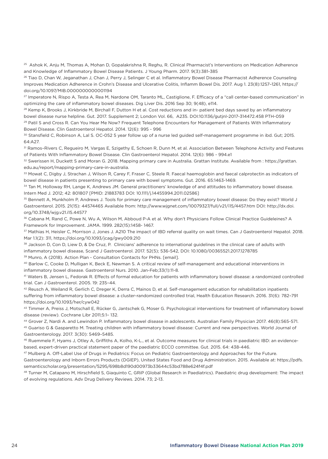25 Ashok K, Anju M, Thomas A, Mohan D, Gopalakrishna R, Reghu, R. Clinical Pharmacist's Interventions on Medication Adherence and Knowledge of Inflammatory Bowel Disease Patients. J Young Pharm. 2017. 9(3):381-385

<sup>26</sup> Tiao D, Chan W, Jeganathan J, Chan J, Perry J, Selinger C et al. Inflammatory Bowel Disease Pharmacist Adherence Counseling Improves Medication Adherence in Crohn's Disease and Ulcerative Colitis, Inflamm Bowel Dis. 2017. Aug 1. 23(8):1257–1261, https:// doi.org/10.1097/MIB.0000000000001194

27 Imperatore N, Rispo A, Testa A, Rea M, Nardone OM, Taranto ML, Castiglione, F. Efficacy of a "call center-based communication" in optimizing the care of inflammatory bowel diseases. Dig Liver Dis. 2016 Sep 30; 9(48), e114.

<sup>28</sup> Kemp K, Brooks J, Kirkbride M, Birchall F, Dutton H et al. Cost reductions and in- patient bed days saved by an inflammatory bowel disease nurse helpline. Gut. 2017. Supplement 2; London Vol. 66, A235. DOI:10.1136/gutjnl-2017-314472.458 PTH-059 <sup>29</sup> Patil S and Cross R. Can You Hear Me Now? Frequent Telephone Encounters for Management of Patients With Inflammatory Bowel Disease. Clin Gastroenterol Hepatol. 2014. 12(6): 995 - 996

<sup>30</sup> Stansfield C, Robinson A, Lal S. OC-052 5 year follow up of a nurse led guided self-management programme in ibd. Gut; 2015. 64:A27.

31 Ramos–Rivers C, Regueiro M, Vargas E, Szigethy E, Schoen R, Dunn M, et al. Association Between Telephone Activity and Features of Patients With Inflammatory Bowel Disease. Clin Gastroenterol Hepatol. 2014. 12(6): 986 - 994.e1

32 Swerissen H, Duckett S and Moran G. 2018. Mapping primary care in Australia. Grattan Institute. Available from : https://grattan. edu.au/report/mapping-primary-care-in-australia.

33 Mowat C, Digby J, Strachan J, Wilson R, Carey F, Fraser C, Steele R. Faecal haemoglobin and faecal calprotectin as indicators of bowel disease in patients presenting to primary care with bowel symptoms. Gut. 2016. 65:1463-1469.

34 Tan M, Holloway RH, Lange K, Andrews JM. General practitioners' knowledge of and attitudes to inflammatory bowel disease. Intern Med J. 2012; 42: 801807 [PMID: 21883783 DOI: 10.1111/j.14455994.2011.02586]

35 Bennett A, Munkholm P, Andrews J. Tools for primary care management of inflammatory bowel disease: Do they exist? World J Gastroenterol. 2015. 21(15): 44574465 Available from: http://www.wjgnet.com/10079327/full/v21/i15/4457.htm DOI: http://dx.doi. org/10.3748/wjg.v21.i15.44577

36 Cabana M, Rand C, Powe N, Wu A, Wilson M, Abboud P-A et al. Why don't Physicians Follow Clinical Practice Guideleines? A Framework for Improvement. JAMA. 1999. 282(15):1458- 1467.

37 Mathias H, Heisler C, Morrison J, Jones J. A210 The impact of IBD referral quality on wait times. Can J Gastroenterol Hepatol. 2018. Mar 1.1(2): 311, https://doi.org/10.1093/jcag/gwy009.210

38 Jackson D, Con D, Liew D, & De Cruz, P. Clinicians' adherence to international guidelines in the clinical care of adults with inflammatory bowel disease, Scand J Gastroenterol. 2017. 52(5); 536-542, DOI: 10.1080/00365521.2017.1278785 <sup>39</sup> Munro, A (2018). Action Plan - Consultation Contacts for PHNs. [email].

40 Barlow C, Cooke D, Mulligan K, Beck E, Newman S. A critical review of self-management and educational interventions in inflammatory bowel disease. Gastroenterol Nurs. 2010. Jan-Feb;33(1):11-8.

41 Waters B, Jensen L, Fedorak R. Effects of formal education for patients with inflammatory bowel disease: a randomized controlled trial. Can J Gastroenterol. 2005. 19: 235–44.

42 Reusch A, Weiland R, Gerlich C, Dreger K, Derra C, Mainos D, et al. Self-management education for rehabilitation inpatients suffering from inflammatory bowel disease: a cluster-randomized controlled trial, Health Education Research. 2016. 31(6): 782–791 https://doi.org/10.1093/her/cyw042

43 Timmer A, Preiss J, Motschall E, Rücker G, Jantschek G, Moser G. Psychological interventions for treatment of inflammatory bowel disease (review). Cochrane Libr 2011;5:1– 132.

44 Grover Z, Nardi A. and Lewindon P. Inflammatory bowel disease in adolescents. Australian Family Physician 2017. 46(8):565-571. 45 Guariso G & Gasparetto M. Treating children with inflammatory bowel disease: Current and new perspectives. World Journal of Gastroenterology. 2017. 3(30): 5469–5485.

46 Ruemmele F, Hyams J, Otley A, Griffiths A, Kolho, K-L., et al. Outcome measures for clinical trials in paediatric IBD: an evidencebased, expert-driven practical statement paper of the paediatric ECCO committee. Gut. 2015. 64: 438-446.

47 Mulberg A. Off-Label Use of Drugs in Pediatrics: Focus on Pediatric Gastroenterology and Approaches for the Future.

Gastroenterology and Inborn Errors Products (DGIEP), United States Food and Drug Administration. 2015. Available at: https://pdfs. semanticscholar.org/presentation/5295/698b8d190d00973b33644c53bd788e624f4f.pdf

<sup>48</sup> Turner M, Catapano M, Hirschfield S, Giaquinto C, GRiP (Global Research in Paediatrics). Paediatric drug development: The impact of evolving regulations. Adv Drug Delivery Reviews. 2014. 73; 2-13.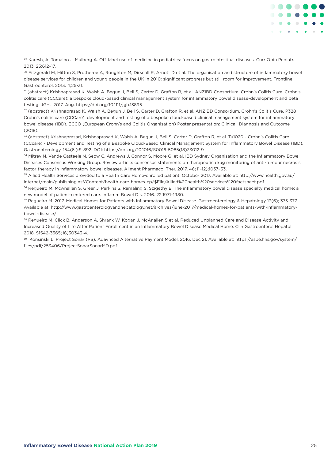

49 Karesh, A, Tomaino J, Mulberg A. Off-label use of medicine in pediatrics: focus on gastrointestinal diseases. Curr Opin Pediatr. 2013. 25:612–17.

50 Fitzgerald M, Mitton S, Protheroe A, Roughton M, Dirscoll R, Arnott D et al. The organisation and structure of inflammatory bowel disease services for children and young people in the UK in 2010: significant progress but still room for improvement. Frontline Gastroenterol. 2013. 4;25-31.

51 (abstract) Krishnaprasad K, Walsh A, Begun J, Bell S, Carter D, Grafton R, et al. ANZIBD Consortium, Crohn's Colitis Cure. Crohn's colitis care (CCCare): a bespoke cloud-based clinical management system for inflammatory bowel disease-development and beta testing. JGH. 2017. Aug. https://doi.org/10.1111/jgh.13895

52 (abstract) Krishnaprasad K, Walsh A, Begun J, Bell S, Carter D, Grafton R, et al. ANZIBD Consortium, Crohn's Colitis Cure. P328 Crohn's colitis care (CCCare): development and testing of a bespoke cloud-based clinical management system for inflammatory bowel disease (IBD). ECCO (European Crohn's and Colitis Organisation) Poster presentation: Clinical: Diagnosis and Outcome (2018).

53 (abstract) Krishnaprasad, Krishnaprasad K, Walsh A, Begun J, Bell S, Carter D, Grafton R, et al. Tu1020 - Crohn's Colitis Care (CCcare) - Development and Testing of a Bespoke Cloud-Based Clinical Management System for Inflammatory Bowel Disease (IBD). Gastroenterology, 154(6 ):S-892. DOI: https://doi.org/10.1016/S0016-5085(18)33012-9

54 Mitrev N, Vande Casteele N, Seow C, Andrews J, Connor S, Moore G, et al. IBD Sydney Organisation and the Inflammatory Bowel Diseases Consensus Working Group. Review article: consensus statements on therapeutic drug monitoring of anti-tumour necrosis factor therapy in inflammatory bowel diseases. Aliment Pharmacol Ther. 2017. 46(11–12);1037–53.

55 Allied Health Services provided to a Health Care Home-enrolled patient. October 2017. Available at: http://www.health.gov.au/ internet/main/publishing.nsf/Content/health-care-homes-cp/\$File/Allied%20health%20services%20factsheet.pdf

56 Regueiro M, McAnallen S, Greer J, Perkins S, Ramaling S, Szigethy E. The inflammatory bowel disease specialty medical home: a new model of patient-centered care. Inflamm Bowel Dis. 2016. 22:1971–1980.

57 Regueiro M. 2017. Medical Homes for Patients with Inflammatory Bowel Disease. Gastroenterology & Hepatology 13(6); 375-377. Available at: http://www.gastroenterologyandhepatology.net/archives/june-2017/medical-homes-for-patients-with-inflammatorybowel-disease/

58 Regueiro M, Click B, Anderson A, Shrank W, Kogan J, McAnallen S et al. Reduced Unplanned Care and Disease Activity and Increased Quality of Life After Patient Enrollment in an Inflammatory Bowel Disease Medical Home. Clin Gastroenterol Hepatol. 2018. S1542-3565(18)30343-4.

59 Konsinski L. Project Sonar (PS). Adavnced Alternative Payment Model. 2016. Dec 21. Available at: https://aspe.hhs.gov/system/ files/pdf/253406/ProjectSonarSonarMD.pdf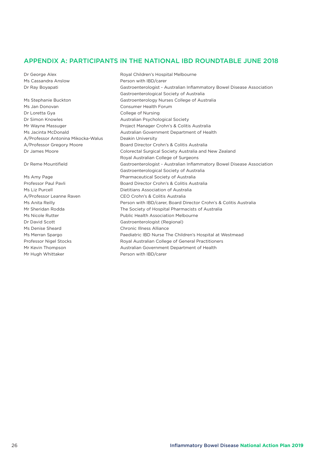# APPENDIX A: PARTICIPANTS IN THE NATIONAL IBD ROUNDTABLE JUNE 2018

Ms Jan Donovan **Consumer Health Forum** Dr Loretta Gya College of Nursing Dr Simon Knowles **Australian Psychological Society** A/Professor Antonina Mikocka-Walus Deakin University

Ms Denise Sheard Chronic Illness Alliance Mr Hugh Whittaker **Person with IBD/carer** 

Dr George Alex **Royal Children's Hospital Melbourne** Ms Cassandra Anslow Person with IBD/carer Dr Ray Boyapati Gastroenterologist - Australian Inflammatory Bowel Disease Association Gastroenterological Society of Australia Ms Stephanie Buckton Gastroenterology Nurses College of Australia Mr Wayne Massuger **Project Manager Crohn's & Colitis Australia** Ms Jacinta McDonald **Australian Government Department of Health** A/Professor Gregory Moore Board Director Crohn's & Colitis Australia Dr James Moore Colorectal Surgical Society Australia and New Zealand Royal Australian College of Surgeons Dr Reme Mountifield Gastroenterologist - Australian Inflammatory Bowel Disease Association Gastroenterological Society of Australia Ms Amy Page **Pharmaceutical Society of Australia** Professor Paul Pavli **Board Director Crohn's & Colitis Australia** Ms Liz Purcell **Minimage 2018** Dietitians Association of Australia A/Professor Leanne Raven CEO Crohn's & Colitis Australia Ms Anita Reilly **Person with IBD/carer, Board Director Crohn's & Colitis Australia** Mr Sheridan Rodda The Society of Hospital Pharmacists of Australia Ms Nicole Rutter **Nicole Rutter** Public Health Association Melbourne Dr David Scott Gastroenterologist (Regional) Ms Merran Spargo **Paediatric IBD Nurse The Children's Hospital at Westmead** Professor Nigel Stocks Royal Australian College of General Practitioners Mr Kevin Thompson Australian Government Department of Health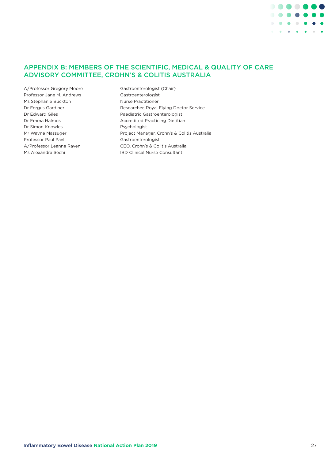

# APPENDIX B: MEMBERS OF THE SCIENTIFIC, MEDICAL & QUALITY OF CARE ADVISORY COMMITTEE, CROHN'S & COLITIS AUSTRALIA

- A/Professor Gregory Moore Gastroenterologist (Chair) Professor Jane M. Andrews Gastroenterologist Ms Stephanie Buckton Nurse Practitioner Dr Simon Knowles **Psychologist** Professor Paul Pavli **Gastroenterologist** Ms Alexandra Sechi **IBD Clinical Nurse Consultant**
- Dr Fergus Gardiner **Researcher, Royal Flying Doctor Service** Dr Edward Giles **Paediatric Gastroenterologist** Dr Emma Halmos **Accredited Practicing Dietitian** Mr Wayne Massuger **Project Manager, Crohn's & Colitis Australia** A/Professor Leanne Raven CEO, Crohn's & Colitis Australia